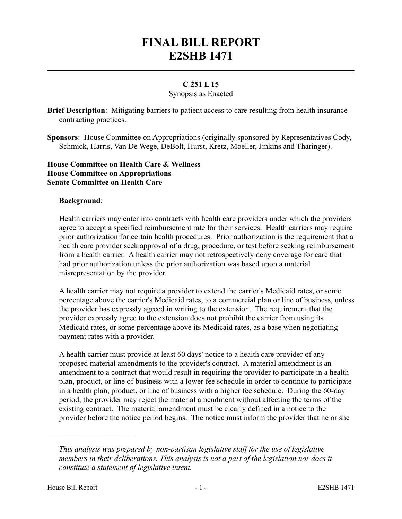# **FINAL BILL REPORT E2SHB 1471**

# **C 251 L 15**

## Synopsis as Enacted

**Brief Description**: Mitigating barriers to patient access to care resulting from health insurance contracting practices.

**Sponsors**: House Committee on Appropriations (originally sponsored by Representatives Cody, Schmick, Harris, Van De Wege, DeBolt, Hurst, Kretz, Moeller, Jinkins and Tharinger).

## **House Committee on Health Care & Wellness House Committee on Appropriations Senate Committee on Health Care**

#### **Background**:

Health carriers may enter into contracts with health care providers under which the providers agree to accept a specified reimbursement rate for their services. Health carriers may require prior authorization for certain health procedures. Prior authorization is the requirement that a health care provider seek approval of a drug, procedure, or test before seeking reimbursement from a health carrier. A health carrier may not retrospectively deny coverage for care that had prior authorization unless the prior authorization was based upon a material misrepresentation by the provider.

A health carrier may not require a provider to extend the carrier's Medicaid rates, or some percentage above the carrier's Medicaid rates, to a commercial plan or line of business, unless the provider has expressly agreed in writing to the extension. The requirement that the provider expressly agree to the extension does not prohibit the carrier from using its Medicaid rates, or some percentage above its Medicaid rates, as a base when negotiating payment rates with a provider.

A health carrier must provide at least 60 days' notice to a health care provider of any proposed material amendments to the provider's contract. A material amendment is an amendment to a contract that would result in requiring the provider to participate in a health plan, product, or line of business with a lower fee schedule in order to continue to participate in a health plan, product, or line of business with a higher fee schedule. During the 60-day period, the provider may reject the material amendment without affecting the terms of the existing contract. The material amendment must be clearly defined in a notice to the provider before the notice period begins. The notice must inform the provider that he or she

––––––––––––––––––––––

*This analysis was prepared by non-partisan legislative staff for the use of legislative members in their deliberations. This analysis is not a part of the legislation nor does it constitute a statement of legislative intent.*